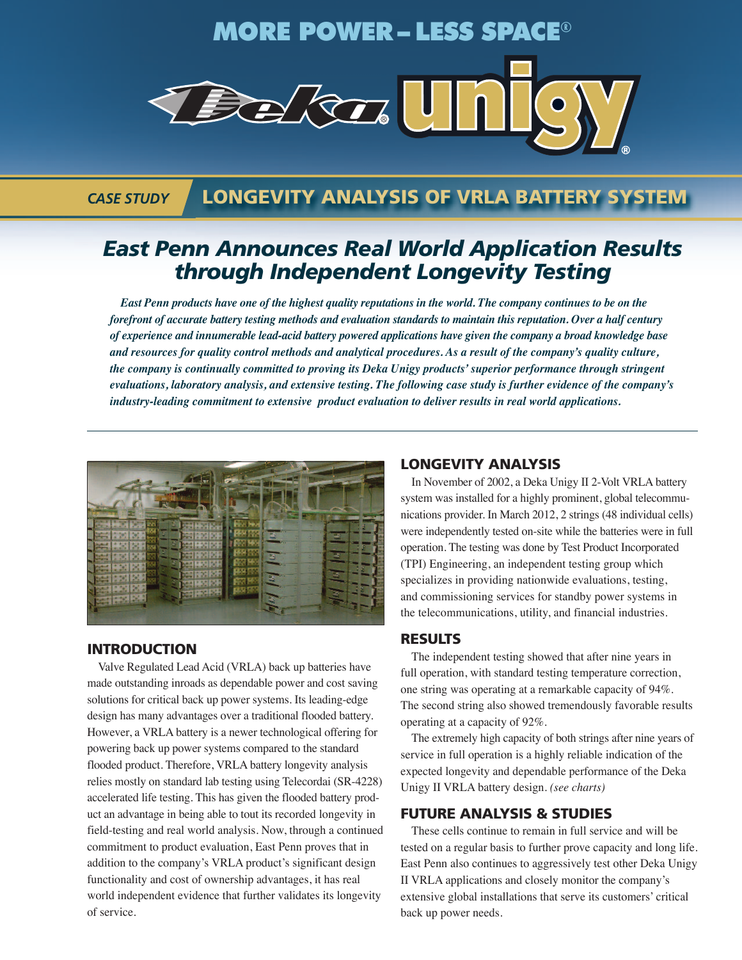## **MORE POWER – LESS SPACE**®



### *CASE STUDY*

## **LONGEVITY ANALYSIS OF VRLA BATTERY SYSTEM**

## *East Penn Announces Real World Application Results through Independent Longevity Testing*

East Penn products have one of the highest quality reputations in the world. The company continues to be on the forefront of accurate battery testing methods and evaluation standards to maintain this reputation. Over a half century of experience and innumerable lead-acid battery powered applications have given the company a broad knowledge base and resources for quality control methods and analytical procedures. As a result of the company's quality culture, *the company is continually committed to proving its Deka Unigy products'superior performance through stringent* evaluations, laboratory analysis, and extensive testing. The following case study is further evidence of the company's *industry-leading commitment to extensive product evaluation to deliver results in real world applications.*



#### **INTRODUCTION**

Valve Regulated Lead Acid (VRLA) back up batteries have made outstanding inroads as dependable power and cost saving solutions for critical back up power systems. Its leading-edge design has many advantages over a traditional flooded battery. However, a VRLA battery is a newer technological offering for powering back up power systems compared to the standard flooded product. Therefore, VRLA battery longevity analysis relies mostly on standard lab testing using Telecordai (SR-4228) accelerated life testing. This has given the flooded battery product an advantage in being able to tout its recorded longevity in field-testing and real world analysis. Now, through a continued commitment to product evaluation, East Penn proves that in addition to the company's VRLA product's significant design functionality and cost of ownership advantages, it has real world independent evidence that further validates its longevity of service.

#### **LONGEVITY ANALYSIS**

In November of 2002, a Deka Unigy II 2-Volt VRLA battery system was installed for a highly prominent, global telecommunications provider. In March 2012, 2 strings (48 individual cells) were independently tested on-site while the batteries were in full operation. The testing was done by Test Product Incorporated (TPI) Engineering, an independent testing group which specializes in providing nationwide evaluations, testing, and commissioning services for standby power systems in the telecommunications, utility, and financial industries.

#### **RESULTS**

The independent testing showed that after nine years in full operation, with standard testing temperature correction, one string was operating at a remarkable capacity of 94%. The second string also showed tremendously favorable results operating at a capacity of 92%.

The extremely high capacity of both strings after nine years of service in full operation is a highly reliable indication of the expected longevity and dependable performance of the Deka Unigy II VRLA battery design. *(see charts)*

#### **FUTURE ANALYSIS & STUDIES**

These cells continue to remain in full service and will be tested on a regular basis to further prove capacity and long life. East Penn also continues to aggressively test other Deka Unigy II VRLA applications and closely monitor the company's extensive global installations that serve its customers' critical back up power needs.